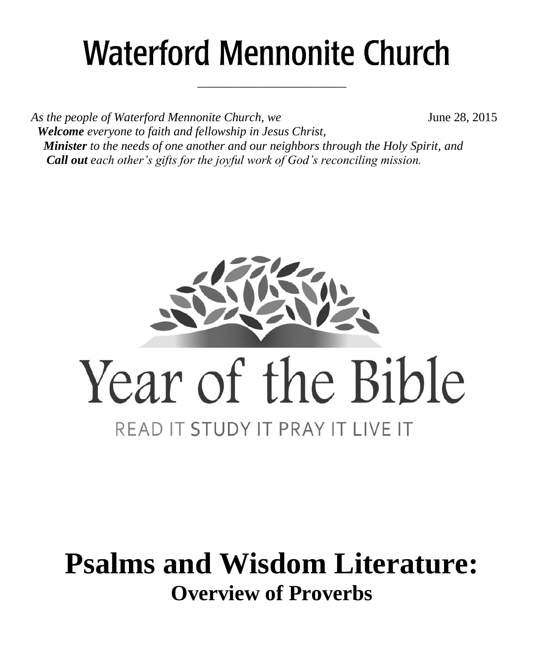# **Waterford Mennonite Church**

\_\_\_\_\_\_\_\_\_\_\_\_\_\_\_\_\_\_\_\_\_\_\_\_

As the people of Waterford Mennonite Church, we **June 28, 2015**  *Welcome everyone to faith and fellowship in Jesus Christ, Minister to the needs of one another and our neighbors through the Holy Spirit, and Call out each other's gifts for the joyful work of God's reconciling mission.*



# **Psalms and Wisdom Literature: Overview of Proverbs**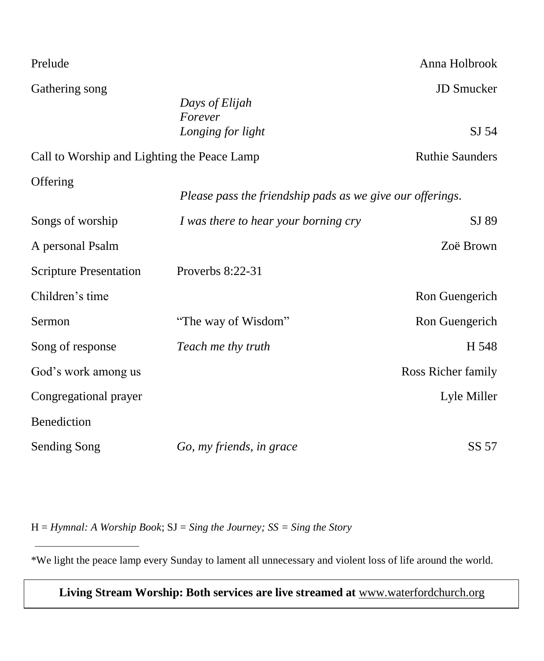| Prelude                                     |                                                           | Anna Holbrook                         |
|---------------------------------------------|-----------------------------------------------------------|---------------------------------------|
| Gathering song                              | Days of Elijah<br>Forever<br>Longing for light            | <b>JD</b> Smucker<br>SI <sub>54</sub> |
| Call to Worship and Lighting the Peace Lamp |                                                           | <b>Ruthie Saunders</b>                |
| Offering                                    | Please pass the friendship pads as we give our offerings. |                                       |
| Songs of worship                            | I was there to hear your borning cry                      | SJ 89                                 |
| A personal Psalm                            |                                                           | Zoë Brown                             |
| <b>Scripture Presentation</b>               | Proverbs 8:22-31                                          |                                       |
| Children's time                             |                                                           | Ron Guengerich                        |
| Sermon                                      | "The way of Wisdom"                                       | Ron Guengerich                        |
| Song of response                            | Teach me thy truth                                        | H 548                                 |
| God's work among us                         |                                                           | Ross Richer family                    |
| Congregational prayer                       |                                                           | Lyle Miller                           |
| Benediction                                 |                                                           |                                       |
| <b>Sending Song</b>                         | Go, my friends, in grace                                  | SS 57                                 |

H = *Hymnal: A Worship Book*; SJ = *Sing the Journey; SS = Sing the Story*

\*We light the peace lamp every Sunday to lament all unnecessary and violent loss of life around the world.

**Living Stream Worship: Both services are live streamed at** [www.waterfordchurch.org](http://www.waterfordchurch.org/)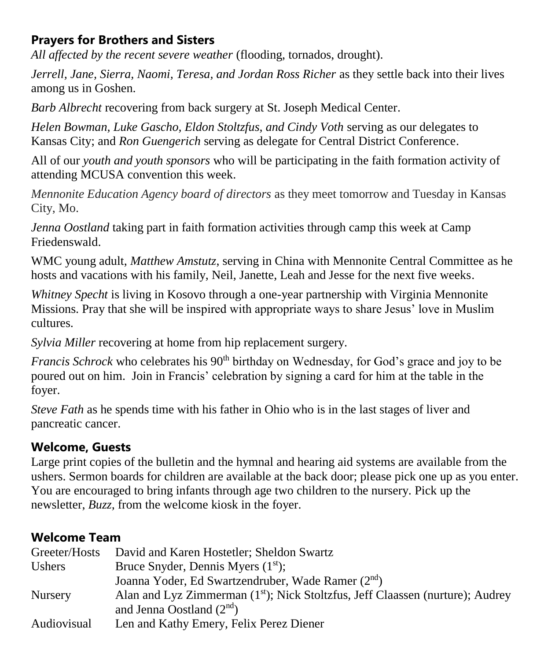# **Prayers for Brothers and Sisters**

*All affected by the recent severe weather* (flooding, tornados, drought).

*Jerrell, Jane, Sierra, Naomi, Teresa, and Jordan Ross Richer* as they settle back into their lives among us in Goshen.

*Barb Albrecht* recovering from back surgery at St. Joseph Medical Center.

*Helen Bowman, Luke Gascho, Eldon Stoltzfus, and Cindy Voth* serving as our delegates to Kansas City; and *Ron Guengerich* serving as delegate for Central District Conference.

All of our *youth and youth sponsors* who will be participating in the faith formation activity of attending MCUSA convention this week.

*Mennonite Education Agency board of directors* as they meet tomorrow and Tuesday in Kansas City, Mo.

*Jenna Oostland* taking part in faith formation activities through camp this week at Camp Friedenswald.

WMC young adult, *Matthew Amstutz*, serving in China with Mennonite Central Committee as he hosts and vacations with his family, Neil, Janette, Leah and Jesse for the next five weeks.

*Whitney Specht* is living in Kosovo through a one-year partnership with Virginia Mennonite Missions. Pray that she will be inspired with appropriate ways to share Jesus' love in Muslim cultures.

*Sylvia Miller* recovering at home from hip replacement surgery.

*Francis Schrock* who celebrates his 90<sup>th</sup> birthday on Wednesday, for God's grace and joy to be poured out on him. Join in Francis' celebration by signing a card for him at the table in the foyer.

*Steve Fath* as he spends time with his father in Ohio who is in the last stages of liver and pancreatic cancer.

# **Welcome, Guests**

Large print copies of the bulletin and the hymnal and hearing aid systems are available from the ushers. Sermon boards for children are available at the back door; please pick one up as you enter. You are encouraged to bring infants through age two children to the nursery. Pick up the newsletter, *Buzz,* from the welcome kiosk in the foyer.

# **Welcome Team**

| Greeter/Hosts  | David and Karen Hostetler; Sheldon Swartz                                     |
|----------------|-------------------------------------------------------------------------------|
| Ushers         | Bruce Snyder, Dennis Myers $(1st)$ ;                                          |
|                | Joanna Yoder, Ed Swartzendruber, Wade Ramer (2 <sup>nd</sup> )                |
| <b>Nursery</b> | Alan and Lyz Zimmerman (1st); Nick Stoltzfus, Jeff Claassen (nurture); Audrey |
|                | and Jenna Oostland $(2nd)$                                                    |
| Audiovisual    | Len and Kathy Emery, Felix Perez Diener                                       |